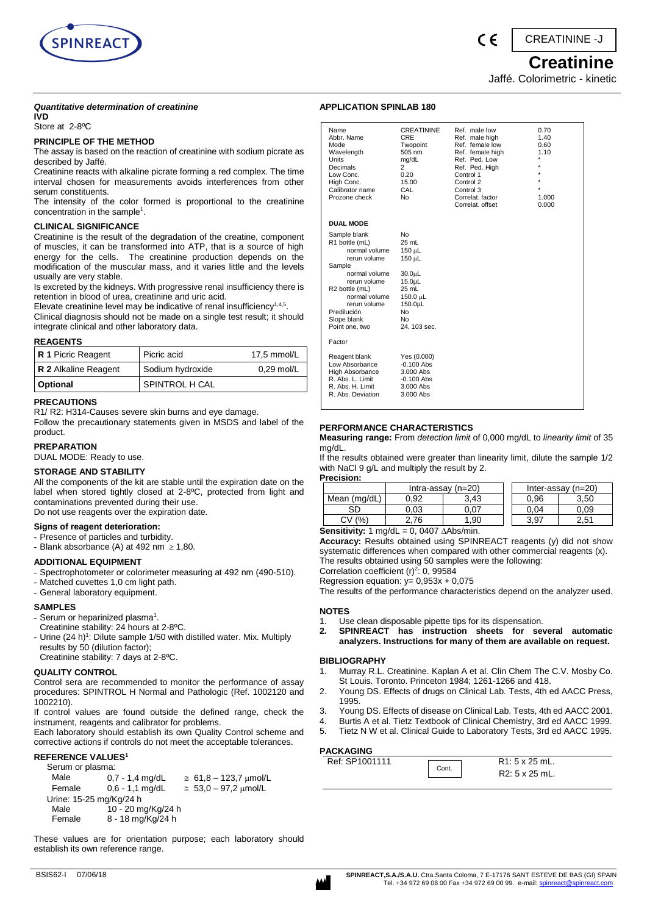

C E

CREATININE -J

 **Creatinine** Jaffé. Colorimetric - kinetic

#### *Quantitative determination of creatinine* **IVD**

Store at 2-8ºC

## **PRINCIPLE OF THE METHOD**

The assay is based on the reaction of creatinine with sodium picrate as described by Jaffé.

Creatinine reacts with alkaline picrate forming a red complex. The time interval chosen for measurements avoids interferences from other serum constituents.

The intensity of the color formed is proportional to the creatinine concentration in the sample<sup>1</sup>.

## **CLINICAL SIGNIFICANCE**

Creatinine is the result of the degradation of the creatine, component of muscles, it can be transformed into ATP, that is a source of high energy for the cells. The creatinine production depends on the modification of the muscular mass, and it varies little and the levels usually are very stable.

Is excreted by the kidneys. With progressive renal insufficiency there is retention in blood of urea, creatinine and uric acid.

Elevate creatinine level may be indicative of renal insufficiency<sup>1,4,5</sup>. Clinical diagnosis should not be made on a single test result; it should integrate clinical and other laboratory data.

#### **REAGENTS**

| .                    |                  |              |
|----------------------|------------------|--------------|
| R 1 Picric Reagent   | Picric acid      | 17.5 mmol/L  |
| R 2 Alkaline Reagent | Sodium hydroxide | $0.29$ mol/L |
| Optional             | SPINTROL H CAL   |              |

#### **PRECAUTIONS**

R1/ R2: H314-Causes severe skin burns and eye damage.

Follow the precautionary statements given in MSDS and label of the product.

## **PREPARATION**

DUAL MODE: Ready to use.

## **STORAGE AND STABILITY**

All the components of the kit are stable until the expiration date on the label when stored tightly closed at 2-8ºC, protected from light and contaminations prevented during their use. Do not use reagents over the expiration date.

## **Signs of reagent deterioration:**

- Presence of particles and turbidity.
- Blank absorbance (A) at 492 nm  $\geq$  1,80.

## **ADDITIONAL EQUIPMENT**

- Spectrophotometer or colorimeter measuring at 492 nm (490-510).
- Matched cuvettes 1,0 cm light path.
- General laboratory equipment.

## **SAMPLES**

- Serum or heparinized plasma<sup>1</sup>.
- Creatinine stability: 24 hours at 2-8ºC.
- Urine (24 h)<sup>1</sup>: Dilute sample 1/50 with distilled water. Mix. Multiply results by 50 (dilution factor);
- Creatinine stability: 7 days at 2-8ºC.

## **QUALITY CONTROL**

Control sera are recommended to monitor the performance of assay procedures: SPINTROL H Normal and Pathologic (Ref. 1002120 and 1002210).

If control values are found outside the defined range, check the instrument, reagents and calibrator for problems.

Each laboratory should establish its own Quality Control scheme and corrective actions if controls do not meet the acceptable tolerances.

## **REFERENCE VALUES<sup>1</sup>**

| Serum or plasma:        |                    |                               |
|-------------------------|--------------------|-------------------------------|
| Male                    | $0.7 - 1.4$ mg/dL  | $\approx 61.8 - 123.7$ µmol/L |
| Female                  | $0.6 - 1.1$ mg/dL  | $\approx 53.0 - 97.2$ umol/L  |
| Urine: 15-25 mg/Kg/24 h |                    |                               |
| Male                    | 10 - 20 mg/Kg/24 h |                               |
| Female                  | 8 - 18 mg/Kg/24 h  |                               |

These values are for orientation purpose; each laboratory should establish its own reference range.

| Name<br>Abbr. Name<br>Mode<br>Wavelength<br><b>Units</b><br>Decimals<br>Low Conc.<br>High Conc.<br>Calibrator name<br>Prozone check                                                                           | <b>CREATININE</b><br>CRE<br>Twopoint<br>505 nm<br>mg/dL<br>$\overline{2}$<br>0.20<br>15.00<br>CAL<br>N <sub>0</sub>                       | Ref. male low<br>Ref. male high<br>Ref. female low<br>Ref. female high<br>Ref. Ped. Low<br>Ref. Ped. High<br>Control 1<br>Control 2<br>Control 3<br>Correlat, factor<br>Correlat, offset | 0.70<br>1.40<br>0.60<br>1.10<br>$\star$<br>٠<br>1.000<br>0.000 |
|---------------------------------------------------------------------------------------------------------------------------------------------------------------------------------------------------------------|-------------------------------------------------------------------------------------------------------------------------------------------|------------------------------------------------------------------------------------------------------------------------------------------------------------------------------------------|----------------------------------------------------------------|
| <b>DUAL MODE</b>                                                                                                                                                                                              |                                                                                                                                           |                                                                                                                                                                                          |                                                                |
| Sample blank<br>R1 bottle (mL)<br>normal volume<br>rerun volume<br>Sample<br>normal volume<br>rerun volume<br>R2 bottle (mL)<br>normal volume<br>rerun volume<br>Predilución<br>Slope blank<br>Point one, two | No<br>$25$ mL<br>150 µL<br>150 µL<br>30.0 <sub>µ</sub><br>15.0 <sub>µ</sub> L<br>25 mL<br>150.0 µL<br>150.0µL<br>No<br>No<br>24. 103 sec. |                                                                                                                                                                                          |                                                                |
| Factor                                                                                                                                                                                                        |                                                                                                                                           |                                                                                                                                                                                          |                                                                |
| Reagent blank<br>Low Absorbance<br><b>High Absorbance</b><br>R. Abs. L. Limit<br>R. Abs. H. Limit<br>R. Abs. Deviation                                                                                        | Yes (0.000)<br>$-0.100$ Abs<br>3.000 Abs<br>$-0.100$ Abs<br>3.000 Abs<br>3.000 Abs                                                        |                                                                                                                                                                                          |                                                                |

## **PERFORMANCE CHARACTERISTICS**

**APPLICATION SPINLAB 180**

**Measuring range:** From *detection limit* of 0,000 mg/dL to *linearity limit* of 35 mg/dL.

If the results obtained were greater than linearity limit, dilute the sample 1/2 with NaCl 9 g/L and multiply the result by 2. **Precision:**

| .                           |                      |                |      |                      |
|-----------------------------|----------------------|----------------|------|----------------------|
|                             | Intra-assay $(n=20)$ |                |      | Inter-assay $(n=20)$ |
| Mean (mg/dL)                | 0.92                 | 3.43           | 0.96 | 3.50                 |
| SD                          | 0.03                 | J.07           | 0.04 | 0.09                 |
| (% )<br>CV                  | 2.76                 | .90            | 3.97 | 2.51                 |
| الماسمين استخداما والمتحددة | <sup>o</sup>         | $0.407 + 0.64$ |      |                      |

**Sensitivity:**  $1 \text{ mq/dL} = 0$ , 0407  $\triangle$ Abs/min.

**Accuracy:** Results obtained using SPINREACT reagents (y) did not show systematic differences when compared with other commercial reagents (x). The results obtained using 50 samples were the following:

Correlation coefficient  $(r)^2$ : 0, 99584

Regression equation:  $y = 0,953x + 0,075$ 

The results of the performance characteristics depend on the analyzer used.

#### **NOTES**

- 1. Use clean disposable pipette tips for its dispensation.
- **2. SPINREACT has instruction sheets for several automatic analyzers. Instructions for many of them are available on request.**

## **BIBLIOGRAPHY**

- 1. Murray R.L. Creatinine. Kaplan A et al. Clin Chem The C.V. Mosby Co. St Louis. Toronto. Princeton 1984; 1261-1266 and 418.
- 2. Young DS. Effects of drugs on Clinical Lab. Tests, 4th ed AACC Press, 1995.
- 3. Young DS. Effects of disease on Clinical Lab. Tests, 4th ed AACC 2001.
- 4. Burtis A et al. Tietz Textbook of Clinical Chemistry, 3rd ed AACC 1999.
- 5. Tietz N W et al. Clinical Guide to Laboratory Tests, 3rd ed AACC 1995.

## **PACKAGING**

| Ref: SP1001111 | Cont. | $R1: 5 \times 25$ mL.<br>R2: 5 x 25 mL. |  |
|----------------|-------|-----------------------------------------|--|
|                |       |                                         |  |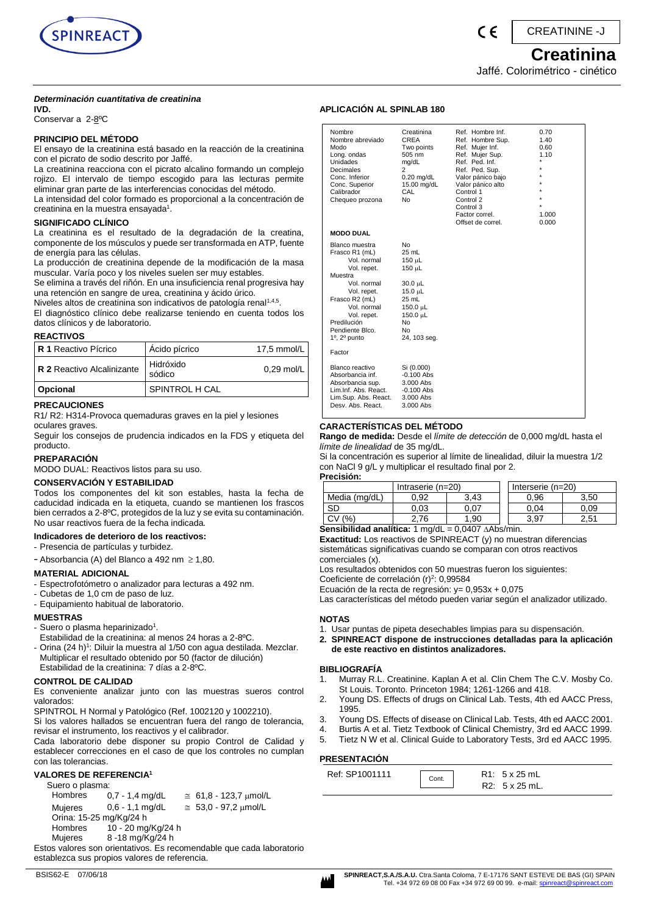

( F

CREATININE -J

## **Creatinina**

## Jaffé. Colorimétrico - cinético

## *Determinación cuantitativa de creatinina*

**IVD.** 

Conservar a 2-8ºC

## **PRINCIPIO DEL MÉTODO**

El ensayo de la creatinina está basado en la reacción de la creatinina con el picrato de sodio descrito por Jaffé.

La creatinina reacciona con el picrato alcalino formando un complejo rojizo. El intervalo de tiempo escogido para las lecturas permite eliminar gran parte de las interferencias conocidas del método. La intensidad del color formado es proporcional a la concentración de

creatinina en la muestra ensayada<sup>1</sup>.

## **SIGNIFICADO CLÍNICO**

La creatinina es el resultado de la degradación de la creatina, componente de los músculos y puede ser transformada en ATP, fuente de energía para las células.

La producción de creatinina depende de la modificación de la masa muscular. Varía poco y los niveles suelen ser muy estables.

Se elimina a través del riñón. En una insuficiencia renal progresiva hay una retención en sangre de urea, creatinina y ácido úrico.

Niveles altos de creatinina son indicativos de patología renal<sup>1,4,5</sup>. El diagnóstico clínico debe realizarse teniendo en cuenta todos los datos clínicos y de laboratorio.

## **REACTIVOS**

| <b>R 1 Reactivo Pícrico</b> | Acido pícrico       | 17,5 mmol/L  |
|-----------------------------|---------------------|--------------|
| R 2 Reactivo Alcalinizante  | Hidróxido<br>sódico | $0,29$ mol/L |
| Opcional                    | SPINTROL H CAL      |              |

## **PRECAUCIONES**

R1/ R2: H314-Provoca quemaduras graves en la piel y lesiones oculares graves.

Seguir los consejos de prudencia indicados en la FDS y etiqueta del producto.

## **PREPARACIÓN**

MODO DUAL: Reactivos listos para su uso.

## **CONSERVACIÓN Y ESTABILIDAD**

Todos los componentes del kit son estables, hasta la fecha de caducidad indicada en la etiqueta, cuando se mantienen los frascos bien cerrados a 2-8ºC, protegidos de la luz y se evita su contaminación. No usar reactivos fuera de la fecha indicada.

#### **Indicadores de deterioro de los reactivos:**

- Presencia de partículas y turbidez.

- Absorbancia (A) del Blanco a 492 nm  $\geq 1,80$ .

#### **MATERIAL ADICIONAL**

- Espectrofotómetro o analizador para lecturas a 492 nm.
- Cubetas de 1,0 cm de paso de luz.
- Equipamiento habitual de laboratorio.

## **MUESTRAS**

- Suero o plasma heparinizado<sup>1</sup>.
- Estabilidad de la creatinina: al menos 24 horas a 2-8ºC.
- Orina (24 h)<sup>1</sup>: Diluir la muestra al 1/50 con agua destilada. Mezclar. Multiplicar el resultado obtenido por 50 (factor de dilución) Estabilidad de la creatinina: 7 días a 2-8ºC.

## **CONTROL DE CALIDAD**

Es conveniente analizar junto con las muestras sueros control valorados:

SPINTROL H Normal y Patológico (Ref. 1002120 y 1002210).

Si los valores hallados se encuentran fuera del rango de tolerancia, revisar el instrumento, los reactivos y el calibrador.

Cada laboratorio debe disponer su propio Control de Calidad y establecer correcciones en el caso de que los controles no cumplan con las tolerancias.

## **VALORES DE REFERENCIA<sup>1</sup>**

Suero o plasma: Hombres 0,7 - 1,4 mg/dL  $\approx 61,8 - 123,7 \mu$ mol/L Mujeres 0,6 - 1,1 mg/dL  $\approx 53,0 - 97,2 \mu \text{mol/L}$  Orina: 15-25 mg/Kg/24 h Hombres 10 - 20 mg/Kg/24 h<br>Mujeres 8 - 18 mg/Kg/24 h 8 -18 mg/Kg/24 h Estos valores son orientativos. Es recomendable que cada laboratorio establezca sus propios valores de referencia.

## **APLICACIÓN AL SPINLAB 180**

| Nombre<br>Nombre abreviado<br>Modo<br>Long. ondas<br>Unidades<br>Decimales<br>Conc. Inferior<br>Conc. Superior<br>Calibrador<br>Chequeo prozona                                                                          | Creatinina<br>CREA<br>Two points<br>505 nm<br>mg/dL<br>$\overline{2}$<br>$0.20$ mg/dL<br>15.00 mg/dL<br>CAL<br>No              | Ref. Hombre Inf.<br>Ref. Hombre Sup.<br>Ref. Mujer Inf.<br>Ref. Mujer Sup.<br>Ref. Ped. Inf.<br>Ref. Ped. Sup.<br>Valor pánico bajo<br>Valor pánico alto<br>Control 1<br>Control 2<br>Control 3<br>Factor correl.<br>Offset de correl. | 0.70<br>1.40<br>0.60<br>1.10<br>$\star$<br>$\star$<br>1.000<br>0.000 |
|--------------------------------------------------------------------------------------------------------------------------------------------------------------------------------------------------------------------------|--------------------------------------------------------------------------------------------------------------------------------|----------------------------------------------------------------------------------------------------------------------------------------------------------------------------------------------------------------------------------------|----------------------------------------------------------------------|
| <b>MODO DUAL</b>                                                                                                                                                                                                         |                                                                                                                                |                                                                                                                                                                                                                                        |                                                                      |
| Blanco muestra<br>Frasco R1 (mL)<br>Vol. normal<br>Vol. repet.<br>Muestra<br>Vol. normal<br>Vol. repet.<br>Frasco R2 (mL)<br>Vol. normal<br>Vol. repet.<br>Predilución<br>Pendiente Blco.<br>$1^\circ$ , $2^\circ$ punto | <b>No</b><br>25 mL<br>$150 \mu L$<br>150 µL<br>30.0 µL<br>15.0 µL<br>25 mL<br>150.0 µL<br>150.0 µL<br>No<br>No<br>24, 103 seg. |                                                                                                                                                                                                                                        |                                                                      |
| Factor                                                                                                                                                                                                                   |                                                                                                                                |                                                                                                                                                                                                                                        |                                                                      |
| Blanco reactivo<br>Absorbancia inf.<br>Absorbancia sup.<br>Lim.Inf. Abs. React.<br>Lim.Sup. Abs. React.<br>Desv. Abs. React.                                                                                             | Si (0.000)<br>$-0.100$ Abs<br>3.000 Abs<br>$-0.100$ Abs<br>3.000 Abs<br>3.000 Abs                                              |                                                                                                                                                                                                                                        |                                                                      |

## **CARACTERÍSTICAS DEL MÉTODO**

**Rango de medida:** Desde el *límite de detección* de 0,000 mg/dL hasta el *límite de linealidad* de 35 mg/dL.

Si la concentración es superior al límite de linealidad, diluir la muestra 1/2 con NaCl 9 g/L y multiplicar el resultado final por 2. **Precisión:**

| 1556915       |                     |      |                   |      |
|---------------|---------------------|------|-------------------|------|
|               | Intraserie $(n=20)$ |      | Interserie (n=20) |      |
| Media (mg/dL) | 0.92                | 3.43 | 0.96              | 3.50 |
| <b>SD</b>     | 0.03                | ა.07 | 0.04              | 0.09 |
| (% )<br>C٧    | 76                  | .90  | 3.97              | 2.51 |

Sensibilidad analítica: 1 mg/dL = 0,0407 ∆Abs/min.

**Exactitud:** Los reactivos de SPINREACT (y) no muestran diferencias sistemáticas significativas cuando se comparan con otros reactivos comerciales (x).

Los resultados obtenidos con 50 muestras fueron los siguientes:

Coeficiente de correlación (r)<sup>2</sup>: 0,99584

Ecuación de la recta de regresión:  $y = 0.953x + 0.075$ 

Las características del método pueden variar según el analizador utilizado.

## **NOTAS**

- 1. Usar puntas de pipeta desechables limpias para su dispensación.
- **2. SPINREACT dispone de instrucciones detalladas para la aplicación de este reactivo en distintos analizadores.**

## **BIBLIOGRAFÍA**

- 1. Murray R.L. Creatinine. Kaplan A et al. Clin Chem The C.V. Mosby Co. St Louis. Toronto. Princeton 1984; 1261-1266 and 418.
- 2. Young DS. Effects of drugs on Clinical Lab. Tests, 4th ed AACC Press, 1995.
- 3. Young DS. Effects of disease on Clinical Lab. Tests, 4th ed AACC 2001.
- 4. Burtis A et al. Tietz Textbook of Clinical Chemistry, 3rd ed AACC 1999.
- 5. Tietz N W et al. Clinical Guide to Laboratory Tests, 3rd ed AACC 1995.

## **PRESENTACIÓN**

| Ref: SP1001111 | Cont. | $R1: 5 \times 25$ mL  |
|----------------|-------|-----------------------|
|                |       | $R2: 5 \times 25$ mL. |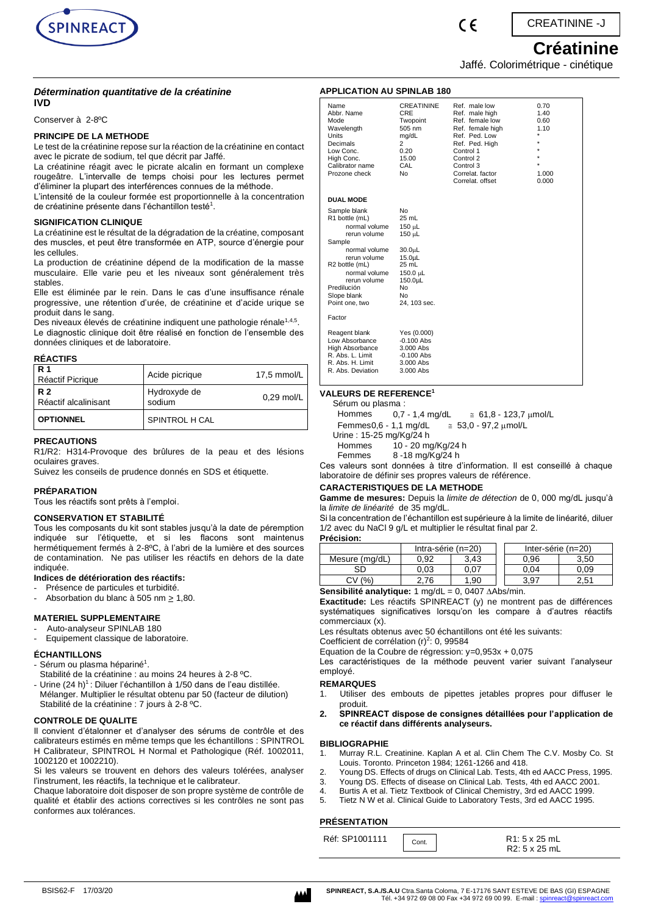

CREATININE -J

# **Créatinine**

Jaffé. Colorimétrique - cinétique

## *Détermination quantitative de la créatinine* **IVD**

Conserver à 2-8ºC

## **PRINCIPE DE LA METHODE**

Le test de la créatinine repose sur la réaction de la créatinine en contact avec le picrate de sodium, tel que décrit par Jaffé.

La créatinine réagit avec le picrate alcalin en formant un complexe rougeâtre. L'intervalle de temps choisi pour les lectures permet d'éliminer la plupart des interférences connues de la méthode. L'intensité de la couleur formée est proportionnelle à la concentration

de créatinine présente dans l'échantillon testé $^{\rm 1}.$ 

## **SIGNIFICATION CLINIQUE**

La créatinine est le résultat de la dégradation de la créatine, composant des muscles, et peut être transformée en ATP, source d'énergie pour les cellules.

La production de créatinine dépend de la modification de la masse musculaire. Elle varie peu et les niveaux sont généralement très stables.

Elle est éliminée par le rein. Dans le cas d'une insuffisance rénale progressive, une rétention d'urée, de créatinine et d'acide urique se produit dans le sang.

Des niveaux élevés de créatinine indiquent une pathologie rénale<sup>1,4,5</sup>. Le diagnostic clinique doit être réalisé en fonction de l'ensemble des données cliniques et de laboratoire.

## **RÉACTIFS**

| <b>R</b> 1<br>Réactif Picrique    | Acide picrique         | $17.5$ mmol/L |
|-----------------------------------|------------------------|---------------|
| <b>R2</b><br>Réactif alcalinisant | Hydroxyde de<br>sodium | $0.29$ mol/L  |
| <b>OPTIONNEL</b>                  | SPINTROL H CAL         |               |

## **PRECAUTIONS**

R1/R2: H314-Provoque des brûlures de la peau et des lésions oculaires graves.

Suivez les conseils de prudence donnés en SDS et étiquette.

## **PRÉPARATION**

Tous les réactifs sont prêts à l'emploi.

## **CONSERVATION ET STABILITÉ**

Tous les composants du kit sont stables jusqu'à la date de péremption indiquée sur l'étiquette, et si les flacons sont maintenus hermétiquement fermés à 2-8ºC, à l'abri de la lumière et des sources de contamination. Ne pas utiliser les réactifs en dehors de la date indiquée.

## **Indices de détérioration des réactifs:**

- Présence de particules et turbidité.
- Absorbation du blanc à 505 nm > 1,80.

## **MATERIEL SUPPLEMENTAIRE**

- Auto-analyseur SPINLAB 180
- Equipement classique de laboratoire.

## **ÉCHANTILLONS**

- Sérum ou plasma hépariné<sup>1</sup>.

- Stabilité de la créatinine : au moins 24 heures à 2-8 ºC.
- Urine  $(24 h)^1$ : Diluer l'échantillon à 1/50 dans de l'eau distillée. Mélanger. Multiplier le résultat obtenu par 50 (facteur de dilution) Stabilité de la créatinine : 7 jours à 2-8 ºC.

## **CONTROLE DE QUALITE**

Il convient d'étalonner et d'analyser des sérums de contrôle et des calibrateurs estimés en même temps que les échantillons : SPINTROL H Calibrateur, SPINTROL H Normal et Pathologique (Réf. 1002011, 1002120 et 1002210).

Si les valeurs se trouvent en dehors des valeurs tolérées, analyser l'instrument, les réactifs, la technique et le calibrateur.

Chaque laboratoire doit disposer de son propre système de contrôle de qualité et établir des actions correctives si les contrôles ne sont pas conformes aux tolérances.

| <b>APPLICATION AU SPINLAB 180</b>                                                                                                                                                                             |                                                                                                                                                                    |                                                                                                                                                                                          |                                                                                 |
|---------------------------------------------------------------------------------------------------------------------------------------------------------------------------------------------------------------|--------------------------------------------------------------------------------------------------------------------------------------------------------------------|------------------------------------------------------------------------------------------------------------------------------------------------------------------------------------------|---------------------------------------------------------------------------------|
| Name<br>Abbr. Name<br>Mode<br>Wavelength<br>Units<br>Decimals<br>Low Conc.<br>High Conc.<br>Calibrator name<br>Prozone check                                                                                  | <b>CREATININE</b><br>CRE<br>Twopoint<br>505 nm<br>mg/dL<br>2<br>0.20<br>15.00<br>CAL<br>N <sub>0</sub>                                                             | Ref. male low<br>Ref. male high<br>Ref. female low<br>Ref. female high<br>Ref. Ped. Low<br>Ref. Ped. High<br>Control 1<br>Control 2<br>Control 3<br>Correlat, factor<br>Correlat, offset | 0.70<br>1.40<br>0.60<br>1.10<br>$\star$<br>$\star$<br>$\star$<br>1.000<br>0.000 |
| <b>DUAL MODE</b>                                                                                                                                                                                              |                                                                                                                                                                    |                                                                                                                                                                                          |                                                                                 |
| Sample blank<br>R1 bottle (mL)<br>normal volume<br>rerun volume<br>Sample<br>normal volume<br>rerun volume<br>R2 bottle (mL)<br>normal volume<br>rerun volume<br>Predilución<br>Slope blank<br>Point one, two | N <sub>0</sub><br>$25$ mL<br>150 µL<br>150 µL<br>30.0 <sub>µ</sub><br>15.0 <sub>µ</sub> L<br>25 mL<br>150.0 µL<br>150.0µL<br>No.<br>N <sub>0</sub><br>24, 103 sec. |                                                                                                                                                                                          |                                                                                 |
| Factor                                                                                                                                                                                                        |                                                                                                                                                                    |                                                                                                                                                                                          |                                                                                 |
| Reagent blank<br>Low Absorbance<br><b>High Absorbance</b><br>R. Abs. L. Limit<br>R. Abs. H. Limit<br>R. Abs. Deviation                                                                                        | Yes (0.000)<br>$-0.100$ Abs<br>3.000 Abs<br>$-0.100$ Abs<br>$3.000$ Abs<br>3.000 Abs                                                                               |                                                                                                                                                                                          |                                                                                 |

 $\epsilon$ 

#### **VALEURS DE REFERENCE<sup>1</sup>** Sérum ou plasma :

 Hommes 0,7 - 1,4 mg/dL  $≤ 61,8 - 123,7$  μmol/L

 Femmes0,6 - 1,1 mg/dL  $≤ 53,0 - 97,2$  μmol/L

Urine : 15-25 mg/Kg/24 h<br>Hommes 10 - 20 m  $10 - 20$  mg/Kg/24 h

Femmes 8 -18 mg/Kg/24 h

Ces valeurs sont données à titre d'information. Il est conseillé à chaque laboratoire de définir ses propres valeurs de référence.

## **CARACTERISTIQUES DE LA METHODE**

**Gamme de mesures:** Depuis la *limite de détection* de 0, 000 mg/dL jusqu'à la *limite de linéarité* de 35 mg/dL.

Si la concentration de l'échantillon est supérieure à la limite de linéarité, diluer 1/2 avec du NaCl 9 g/L et multiplier le résultat final par 2.

## **Précision:** Intra-série (n=20) | | Inter-série (n=20) Mesure (mg/dL) 0,92 3,43 0,96 3,50 SD | 0,03 | 0,07 | 0,04 | 0,09  $CV(%)$  2,76 1,90 1 3,97 2,51

**Sensibilité analytique:** 1 mg/dL = 0, 0407 Abs/min.

**Exactitude:** Les réactifs SPINREACT (y) ne montrent pas de différences systématiques significatives lorsqu'on les compare à d'autres réactifs commerciaux (x).

Les résultats obtenus avec 50 échantillons ont été les suivants:

Coefficient de corrélation  $(r)^2$ : 0, 99584

Equation de la Coubre de régression: y=0,953x + 0,075

Les caractéristiques de la méthode peuvent varier suivant l'analyseur employé.

**REMARQUES**

1. Utiliser des embouts de pipettes jetables propres pour diffuser le produit.

**2. SPINREACT dispose de consignes détaillées pour l'application de ce réactif dans différents analyseurs.**

#### **BIBLIOGRAPHIE**

- 1. Murray R.L. Creatinine. Kaplan A et al. Clin Chem The C.V. Mosby Co. St Louis. Toronto. Princeton 1984; 1261-1266 and 418.
- 2. Young DS. Effects of drugs on Clinical Lab. Tests, 4th ed AACC Press, 1995.
- 3. Young DS. Effects of disease on Clinical Lab. Tests, 4th ed AACC 2001.
- 4. Burtis A et al. Tietz Textbook of Clinical Chemistry, 3rd ed AACC 1999.
- 5. Tietz N W et al. Clinical Guide to Laboratory Tests, 3rd ed AACC 1995.

## **PRÉSENTATION**

| Réf: SP1001111 | Cont. | R <sub>1</sub> : 5 x 25 mL |
|----------------|-------|----------------------------|
|                |       | R2: 5 x 25 mL              |